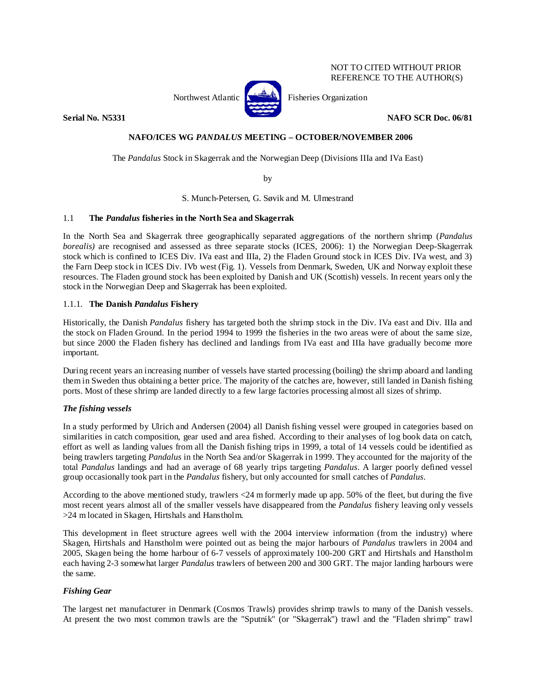## NOT TO CITED WITHOUT PRIOR REFERENCE TO THE AUTHOR(S)



Northwest Atlantic **Kerthall** Fisheries Organization

**Serial No. N5331 NAFO SCR Doc. 06/81** 

## **NAFO/ICES WG** *PANDALUS* **MEETING – OCTOBER/NOVEMBER 2006**

The *Pandalus* Stock in Skagerrak and the Norwegian Deep (Divisions IIIa and IVa East)

by

S. Munch-Petersen, G. Søvik and M. Ulmestrand

## 1.1 **The** *Pandalus* **fisheries in the North Sea and Skagerrak**

In the North Sea and Skagerrak three geographically separated aggregations of the northern shrimp (*Pandalus borealis*) are recognised and assessed as three separate stocks (ICES, 2006): 1) the Norwegian Deep-Skagerrak stock which is confined to ICES Div. IVa east and IIIa, 2) the Fladen Ground stock in ICES Div. IVa west, and 3) the Farn Deep stock in ICES Div. IVb west (Fig. 1). Vessels from Denmark, Sweden, UK and Norway exploit these resources. The Fladen ground stock has been exploited by Danish and UK (Scottish) vessels. In recent years only the stock in the Norwegian Deep and Skagerrak has been exploited.

## 1.1.1. **The Danish** *Pandalus* **Fishery**

Historically, the Danish *Pandalus* fishery has targeted both the shrimp stock in the Div. IVa east and Div. IIIa and the stock on Fladen Ground. In the period 1994 to 1999 the fisheries in the two areas were of about the same size, but since 2000 the Fladen fishery has declined and landings from IVa east and IIIa have gradually become more important.

During recent years an increasing number of vessels have started processing (boiling) the shrimp aboard and landing them in Sweden thus obtaining a better price. The majority of the catches are, however, still landed in Danish fishing ports. Most of these shrimp are landed directly to a few large factories processing almost all sizes of shrimp.

## *The fishing vessels*

In a study performed by Ulrich and Andersen (2004) all Danish fishing vessel were grouped in categories based on similarities in catch composition, gear used and area fished. According to their analyses of log book data on catch, effort as well as landing values from all the Danish fishing trips in 1999, a total of 14 vessels could be identified as being trawlers targeting *Pandalus* in the North Sea and/or Skagerrak in 1999. They accounted for the majority of the total *Pandalus* landings and had an average of 68 yearly trips targeting *Pandalus*. A larger poorly defined vessel group occasionally took part in the *Pandalus* fishery, but only accounted for small catches of *Pandalus*.

According to the above mentioned study, trawlers <24 m formerly made up app. 50% of the fleet, but during the five most recent years almost all of the smaller vessels have disappeared from the *Pandalus* fishery leaving only vessels >24 m located in Skagen, Hirtshals and Hanstholm.

This development in fleet structure agrees well with the 2004 interview information (from the industry) where Skagen, Hirtshals and Hanstholm were pointed out as being the major harbours of *Pandalus* trawlers in 2004 and 2005, Skagen being the home harbour of 6-7 vessels of approximately 100-200 GRT and Hirtshals and Hanstholm each having 2-3 somewhat larger *Pandalus* trawlers of between 200 and 300 GRT. The major landing harbours were the same.

## *Fishing Gear*

The largest net manufacturer in Denmark (Cosmos Trawls) provides shrimp trawls to many of the Danish vessels. At present the two most common trawls are the "Sputnik" (or "Skagerrak") trawl and the "Fladen shrimp" trawl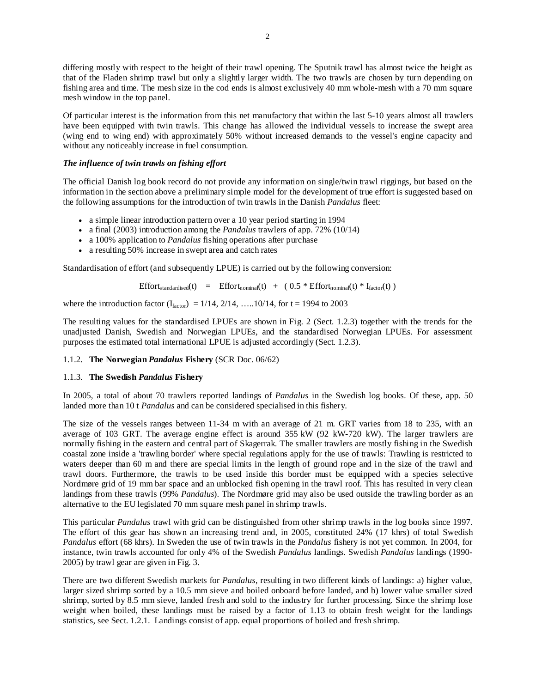differing mostly with respect to the height of their trawl opening. The Sputnik trawl has almost twice the height as that of the Fladen shrimp trawl but only a slightly larger width. The two trawls are chosen by turn depending on fishing area and time. The mesh size in the cod ends is almost exclusively 40 mm whole-mesh with a 70 mm square mesh window in the top panel.

Of particular interest is the information from this net manufactory that within the last 5-10 years almost all trawlers have been equipped with twin trawls. This change has allowed the individual vessels to increase the swept area (wing end to wing end) with approximately 50% without increased demands to the vessel's engine capacity and without any noticeably increase in fuel consumption.

## *The influence of twin trawls on fishing effort*

The official Danish log book record do not provide any information on single/twin trawl riggings, but based on the information in the section above a preliminary simple model for the development of true effort is suggested based on the following assumptions for the introduction of twin trawls in the Danish *Pandalus* fleet:

- a simple linear introduction pattern over a 10 year period starting in 1994
- a final (2003) introduction among the *Pandalus* trawlers of app. 72% (10/14)
- a 100% application to *Pandalus* fishing operations after purchase
- a resulting 50% increase in swept area and catch rates

Standardisation of effort (and subsequently LPUE) is carried out by the following conversion:

$$
Effort_{standardised}(t) = Effort_{nominal}(t) + (0.5 * Effort_{nominal}(t) * I_{factor}(t))
$$

where the introduction factor  $(I_{\text{factor}}) = 1/14, 2/14, \dots, 10/14$ , for t = 1994 to 2003

The resulting values for the standardised LPUEs are shown in Fig. 2 (Sect. 1.2.3) together with the trends for the unadjusted Danish, Swedish and Norwegian LPUEs, and the standardised Norwegian LPUEs. For assessment purposes the estimated total international LPUE is adjusted accordingly (Sect. 1.2.3).

### 1.1.2. **The Norwegian** *Pandalus* **Fishery** (SCR Doc. 06/62)

### 1.1.3. **The Swedish** *Pandalus* **Fishery**

In 2005, a total of about 70 trawlers reported landings of *Pandalus* in the Swedish log books. Of these, app. 50 landed more than 10 t *Pandalus* and can be considered specialised in this fishery.

The size of the vessels ranges between 11-34 m with an average of 21 m. GRT varies from 18 to 235, with an average of 103 GRT. The average engine effect is around 355 kW (92 kW-720 kW). The larger trawlers are normally fishing in the eastern and central part of Skagerrak. The smaller trawlers are mostly fishing in the Swedish coastal zone inside a 'trawling border' where special regulations apply for the use of trawls: Trawling is restricted to waters deeper than 60 m and there are special limits in the length of ground rope and in the size of the trawl and trawl doors. Furthermore, the trawls to be used inside this border must be equipped with a species selective Nordmøre grid of 19 mm bar space and an unblocked fish opening in the trawl roof. This has resulted in very clean landings from these trawls (99% *Pandalus*). The Nordmøre grid may also be used outside the trawling border as an alternative to the EU legislated 70 mm square mesh panel in shrimp trawls.

This particular *Pandalus* trawl with grid can be distinguished from other shrimp trawls in the log books since 1997. The effort of this gear has shown an increasing trend and, in 2005, constituted 24% (17 khrs) of total Swedish *Pandalus* effort (68 khrs). In Sweden the use of twin trawls in the *Pandalus* fishery is not yet common. In 2004, for instance, twin trawls accounted for only 4% of the Swedish *Pandalus* landings. Swedish *Pandalus* landings (1990- 2005) by trawl gear are given in Fig. 3.

There are two different Swedish markets for *Pandalus*, resulting in two different kinds of landings: a) higher value, larger sized shrimp sorted by a 10.5 mm sieve and boiled onboard before landed, and b) lower value smaller sized shrimp, sorted by 8.5 mm sieve, landed fresh and sold to the industry for further processing. Since the shrimp lose weight when boiled, these landings must be raised by a factor of 1.13 to obtain fresh weight for the landings statistics, see Sect. 1.2.1. Landings consist of app. equal proportions of boiled and fresh shrimp.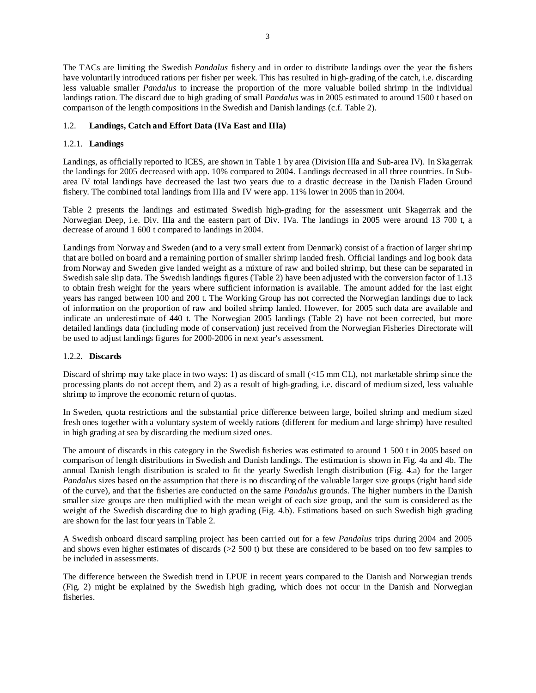The TACs are limiting the Swedish *Pandalus* fishery and in order to distribute landings over the year the fishers have voluntarily introduced rations per fisher per week. This has resulted in high-grading of the catch, i.e. discarding less valuable smaller *Pandalus* to increase the proportion of the more valuable boiled shrimp in the individual landings ration. The discard due to high grading of small *Pandalus* was in 2005 estimated to around 1500 t based on comparison of the length compositions in the Swedish and Danish landings (c.f. Table 2).

## 1.2. **Landings, Catch and Effort Data (IVa East and IIIa)**

## 1.2.1. **Landings**

Landings, as officially reported to ICES, are shown in Table 1 by area (Division IIIa and Sub-area IV). In Skagerrak the landings for 2005 decreased with app. 10% compared to 2004. Landings decreased in all three countries. In Subarea IV total landings have decreased the last two years due to a drastic decrease in the Danish Fladen Ground fishery. The combined total landings from IIIa and IV were app. 11% lower in 2005 than in 2004.

Table 2 presents the landings and estimated Swedish high-grading for the assessment unit Skagerrak and the Norwegian Deep, i.e. Div. IIIa and the eastern part of Div. IVa. The landings in 2005 were around 13 700 t, a decrease of around 1 600 t compared to landings in 2004.

Landings from Norway and Sweden (and to a very small extent from Denmark) consist of a fraction of larger shrimp that are boiled on board and a remaining portion of smaller shrimp landed fresh. Official landings and log book data from Norway and Sweden give landed weight as a mixture of raw and boiled shrimp, but these can be separated in Swedish sale slip data. The Swedish landings figures (Table 2) have been adjusted with the conversion factor of 1.13 to obtain fresh weight for the years where sufficient information is available. The amount added for the last eight years has ranged between 100 and 200 t. The Working Group has not corrected the Norwegian landings due to lack of information on the proportion of raw and boiled shrimp landed. However, for 2005 such data are available and indicate an underestimate of 440 t. The Norwegian 2005 landings (Table 2) have not been corrected, but more detailed landings data (including mode of conservation) just received from the Norwegian Fisheries Directorate will be used to adjust landings figures for 2000-2006 in next year's assessment.

## 1.2.2. **Discards**

Discard of shrimp may take place in two ways: 1) as discard of small (<15 mm CL), not marketable shrimp since the processing plants do not accept them, and 2) as a result of high-grading, i.e. discard of medium sized, less valuable shrimp to improve the economic return of quotas.

In Sweden, quota restrictions and the substantial price difference between large, boiled shrimp and medium sized fresh ones together with a voluntary system of weekly rations (different for medium and large shrimp) have resulted in high grading at sea by discarding the medium sized ones.

The amount of discards in this category in the Swedish fisheries was estimated to around 1 500 t in 2005 based on comparison of length distributions in Swedish and Danish landings. The estimation is shown in Fig. 4a and 4b. The annual Danish length distribution is scaled to fit the yearly Swedish length distribution (Fig. 4.a) for the larger *Pandalus* sizes based on the assumption that there is no discarding of the valuable larger size groups (right hand side of the curve), and that the fisheries are conducted on the same *Pandalus* grounds. The higher numbers in the Danish smaller size groups are then multiplied with the mean weight of each size group, and the sum is considered as the weight of the Swedish discarding due to high grading (Fig. 4.b). Estimations based on such Swedish high grading are shown for the last four years in Table 2.

A Swedish onboard discard sampling project has been carried out for a few *Pandalus* trips during 2004 and 2005 and shows even higher estimates of discards (>2 500 t) but these are considered to be based on too few samples to be included in assessments.

The difference between the Swedish trend in LPUE in recent years compared to the Danish and Norwegian trends (Fig. 2) might be explained by the Swedish high grading, which does not occur in the Danish and Norwegian fisheries.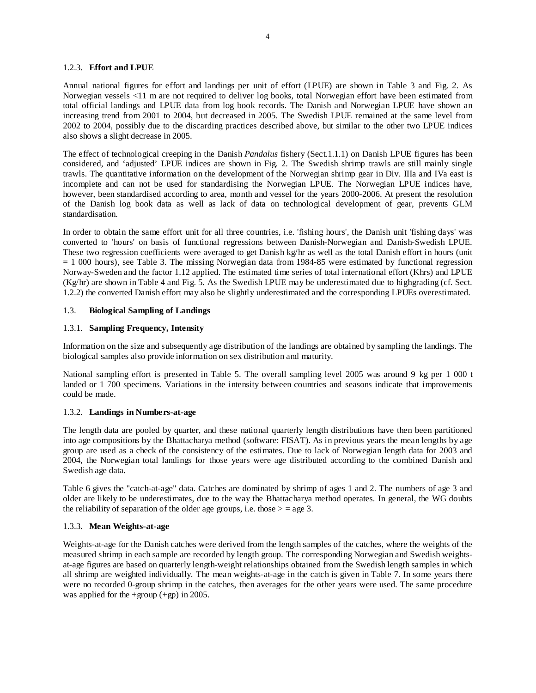### 1.2.3. **Effort and LPUE**

Annual national figures for effort and landings per unit of effort (LPUE) are shown in Table 3 and Fig. 2. As Norwegian vessels <11 m are not required to deliver log books, total Norwegian effort have been estimated from total official landings and LPUE data from log book records. The Danish and Norwegian LPUE have shown an increasing trend from 2001 to 2004, but decreased in 2005. The Swedish LPUE remained at the same level from 2002 to 2004, possibly due to the discarding practices described above, but similar to the other two LPUE indices also shows a slight decrease in 2005.

The effect of technological creeping in the Danish *Pandalus* fishery (Sect.1.1.1) on Danish LPUE figures has been considered, and 'adjusted' LPUE indices are shown in Fig. 2. The Swedish shrimp trawls are still mainly single trawls. The quantitative information on the development of the Norwegian shrimp gear in Div. IIIa and IVa east is incomplete and can not be used for standardising the Norwegian LPUE. The Norwegian LPUE indices have, however, been standardised according to area, month and vessel for the years 2000-2006. At present the resolution of the Danish log book data as well as lack of data on technological development of gear, prevents GLM standardisation.

In order to obtain the same effort unit for all three countries, i.e. 'fishing hours', the Danish unit 'fishing days' was converted to 'hours' on basis of functional regressions between Danish-Norwegian and Danish-Swedish LPUE. These two regression coefficients were averaged to get Danish kg/hr as well as the total Danish effort in hours (unit = 1 000 hours), see Table 3. The missing Norwegian data from 1984-85 were estimated by functional regression Norway-Sweden and the factor 1.12 applied. The estimated time series of total international effort (Khrs) and LPUE (Kg/hr) are shown in Table 4 and Fig. 5. As the Swedish LPUE may be underestimated due to highgrading (cf. Sect. 1.2.2) the converted Danish effort may also be slightly underestimated and the corresponding LPUEs overestimated.

### 1.3. **Biological Sampling of Landings**

#### 1.3.1. **Sampling Frequency, Intensity**

Information on the size and subsequently age distribution of the landings are obtained by sampling the landings. The biological samples also provide information on sex distribution and maturity.

National sampling effort is presented in Table 5. The overall sampling level 2005 was around 9 kg per 1 000 t landed or 1 700 specimens. Variations in the intensity between countries and seasons indicate that improvements could be made.

#### 1.3.2. **Landings in Numbers-at-age**

The length data are pooled by quarter, and these national quarterly length distributions have then been partitioned into age compositions by the Bhattacharya method (software: FISAT). As in previous years the mean lengths by age group are used as a check of the consistency of the estimates. Due to lack of Norwegian length data for 2003 and 2004, the Norwegian total landings for those years were age distributed according to the combined Danish and Swedish age data.

Table 6 gives the "catch-at-age" data. Catches are dominated by shrimp of ages 1 and 2. The numbers of age 3 and older are likely to be underestimates, due to the way the Bhattacharya method operates. In general, the WG doubts the reliability of separation of the older age groups, i.e. those  $>$  = age 3.

### 1.3.3. **Mean Weights-at-age**

Weights-at-age for the Danish catches were derived from the length samples of the catches, where the weights of the measured shrimp in each sample are recorded by length group. The corresponding Norwegian and Swedish weightsat-age figures are based on quarterly length-weight relationships obtained from the Swedish length samples in which all shrimp are weighted individually. The mean weights-at-age in the catch is given in Table 7. In some years there were no recorded 0-group shrimp in the catches, then averages for the other years were used. The same procedure was applied for the +group  $(+gp)$  in 2005.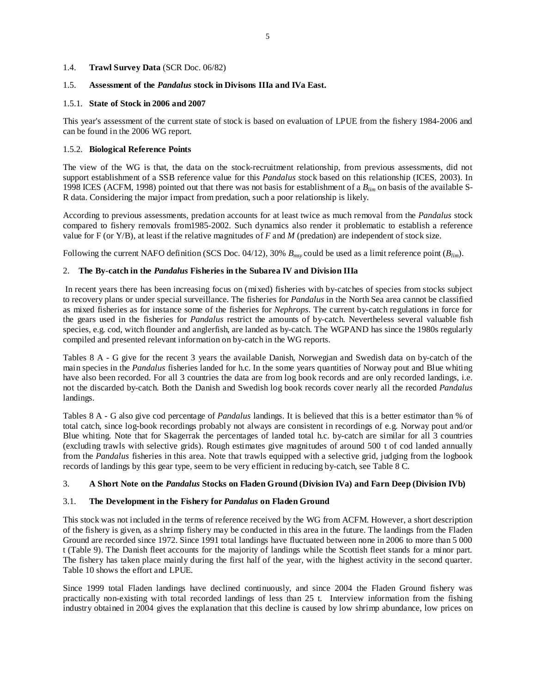## 1.4. **Trawl Survey Data** (SCR Doc. 06/82)

### 1.5. **Assessment of the** *Pandalus* **stock in Divisons IIIa and IVa East.**

### 1.5.1. **State of Stock in 2006 and 2007**

This year's assessment of the current state of stock is based on evaluation of LPUE from the fishery 1984-2006 and can be found in the 2006 WG report.

## 1.5.2. **Biological Reference Points**

The view of the WG is that, the data on the stock-recruitment relationship, from previous assessments, did not support establishment of a SSB reference value for this *Pandalus* stock based on this relationship (ICES, 2003). In 1998 ICES (ACFM, 1998) pointed out that there was not basis for establishment of a *Blim* on basis of the available S-R data. Considering the major impact from predation, such a poor relationship is likely.

According to previous assessments, predation accounts for at least twice as much removal from the *Pandalus* stock compared to fishery removals from1985-2002. Such dynamics also render it problematic to establish a reference value for F (or Y/B), at least if the relative magnitudes of *F* and *M* (predation) are independent of stock size.

Following the current NAFO definition (SCS Doc. 04/12), 30% *Bmsy* could be used as a limit reference point (*Blim*).

## 2. **The By-catch in the** *Pandalus* **Fisheries in the Subarea IV and Division IIIa**

 In recent years there has been increasing focus on (mixed) fisheries with by-catches of species from stocks subject to recovery plans or under special surveillance. The fisheries for *Pandalus* in the North Sea area cannot be classified as mixed fisheries as for instance some of the fisheries for *Nephrops*. The current by-catch regulations in force for the gears used in the fisheries for *Pandalus* restrict the amounts of by-catch. Nevertheless several valuable fish species, e.g. cod, witch flounder and anglerfish, are landed as by-catch. The WGPAND has since the 1980s regularly compiled and presented relevant information on by-catch in the WG reports.

Tables 8 A - G give for the recent 3 years the available Danish, Norwegian and Swedish data on by-catch of the main species in the *Pandalus* fisheries landed for h.c. In the some years quantities of Norway pout and Blue whiting have also been recorded. For all 3 countries the data are from log book records and are only recorded landings, i.e. not the discarded by-catch. Both the Danish and Swedish log book records cover nearly all the recorded *Pandalus*  landings.

Tables 8 A - G also give cod percentage of *Pandalus* landings. It is believed that this is a better estimator than % of total catch, since log-book recordings probably not always are consistent in recordings of e.g. Norway pout and/or Blue whiting. Note that for Skagerrak the percentages of landed total h.c. by-catch are similar for all 3 countries (excluding trawls with selective grids). Rough estimates give magnitudes of around 500 t of cod landed annually from the *Pandalus* fisheries in this area. Note that trawls equipped with a selective grid, judging from the logbook records of landings by this gear type, seem to be very efficient in reducing by-catch, see Table 8 C.

## 3. **A Short Note on the** *Pandalus* **Stocks on Fladen Ground (Division IVa) and Farn Deep (Division IVb)**

## 3.1. **The Development in the Fishery for** *Pandalus* **on Fladen Ground**

This stock was not included in the terms of reference received by the WG from ACFM. However, a short description of the fishery is given, as a shrimp fishery may be conducted in this area in the future. The landings from the Fladen Ground are recorded since 1972. Since 1991 total landings have fluctuated between none in 2006 to more than 5 000 t (Table 9). The Danish fleet accounts for the majority of landings while the Scottish fleet stands for a minor part. The fishery has taken place mainly during the first half of the year, with the highest activity in the second quarter. Table 10 shows the effort and LPUE.

Since 1999 total Fladen landings have declined continuously, and since 2004 the Fladen Ground fishery was practically non-existing with total recorded landings of less than 25 t. Interview information from the fishing industry obtained in 2004 gives the explanation that this decline is caused by low shrimp abundance, low prices on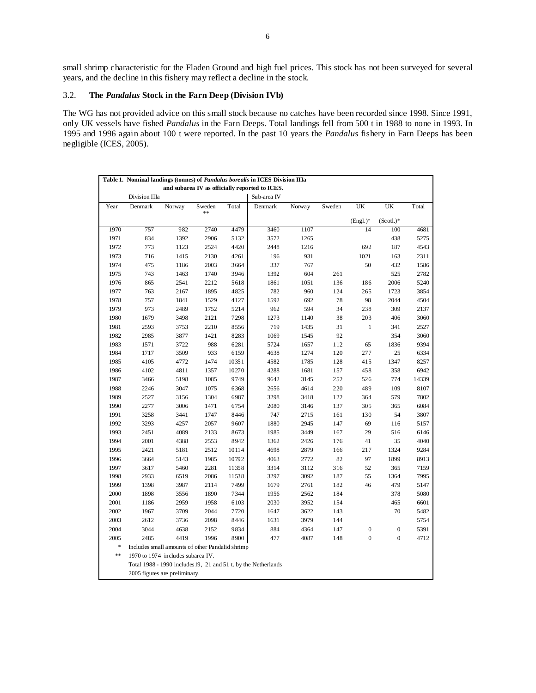small shrimp characteristic for the Fladen Ground and high fuel prices. This stock has not been surveyed for several years, and the decline in this fishery may reflect a decline in the stock.

## 3.2. **The** *Pandalus* **Stock in the Farn Deep (Division IVb)**

The WG has not provided advice on this small stock because no catches have been recorded since 1998. Since 1991, only UK vessels have fished *Pandalus* in the Farn Deeps. Total landings fell from 500 t in 1988 to none in 1993. In 1995 and 1996 again about 100 t were reported. In the past 10 years the *Pandalus* fishery in Farn Deeps has been negligible (ICES, 2005).

|            |               |                                                 |              |       | Table 1. Nominal landings (tonnes) of <i>Pandalus borealis</i> in ICES Division IIIa |        |        |                  |                  |       |
|------------|---------------|-------------------------------------------------|--------------|-------|--------------------------------------------------------------------------------------|--------|--------|------------------|------------------|-------|
|            |               |                                                 |              |       | and subarea IV as officially reported to ICES.                                       |        |        |                  |                  |       |
|            | Division IIIa |                                                 |              |       | Sub-area IV                                                                          |        |        |                  |                  |       |
| Year       | Denmark       | Norway                                          | Sweden<br>** | Total | Denmark                                                                              | Norway | Sweden | UK               | UK               | Total |
|            |               |                                                 |              |       |                                                                                      |        |        | $(Engl.)^*$      | $(Scotl.)^*$     |       |
| 1970       | 757           | 982                                             | 2740         | 4479  | 3460                                                                                 | 1107   |        | 14               | 100              | 4681  |
| 1971       | 834           | 1392                                            | 2906         | 5132  | 3572                                                                                 | 1265   |        |                  | 438              | 5275  |
| 1972       | 773           | 1123                                            | 2524         | 4420  | 2448                                                                                 | 1216   |        | 692              | 187              | 4543  |
| 1973       | 716           | 1415                                            | 2130         | 4261  | 196                                                                                  | 931    |        | 1021             | 163              | 2311  |
| 1974       | 475           | 1186                                            | 2003         | 3664  | 337                                                                                  | 767    |        | 50               | 432              | 1586  |
| 1975       | 743           | 1463                                            | 1740         | 3946  | 1392                                                                                 | 604    | 261    |                  | 525              | 2782  |
| 1976       | 865           | 2541                                            | 2212         | 5618  | 1861                                                                                 | 1051   | 136    | 186              | 2006             | 5240  |
| 1977       | 763           | 2167                                            | 1895         | 4825  | 782                                                                                  | 960    | 124    | 265              | 1723             | 3854  |
| 1978       | 757           | 1841                                            | 1529         | 4127  | 1592                                                                                 | 692    | 78     | 98               | 2044             | 4504  |
| 1979       | 973           | 2489                                            | 1752         | 5214  | 962                                                                                  | 594    | 34     | 238              | 309              | 2137  |
| 1980       | 1679          | 3498                                            | 2121         | 7298  | 1273                                                                                 | 1140   | 38     | 203              | 406              | 3060  |
| 1981       | 2593          | 3753                                            | 2210         | 8556  | 719                                                                                  | 1435   | 31     | $\,1$            | 341              | 2527  |
| 1982       | 2985          | 3877                                            | 1421         | 8283  | 1069                                                                                 | 1545   | 92     |                  | 354              | 3060  |
| 1983       | 1571          | 3722                                            | 988          | 6281  | 5724                                                                                 | 1657   | 112    | 65               | 1836             | 9394  |
| 1984       | 1717          | 3509                                            | 933          | 6159  | 4638                                                                                 | 1274   | 120    | 277              | 25               | 6334  |
| 1985       | 4105          | 4772                                            | 1474         | 10351 | 4582                                                                                 | 1785   | 128    | 415              | 1347             | 8257  |
| 1986       | 4102          | 4811                                            | 1357         | 10270 | 4288                                                                                 | 1681   | 157    | 458              | 358              | 6942  |
| 1987       | 3466          | 5198                                            | 1085         | 9749  | 9642                                                                                 | 3145   | 252    | 526              | 774              | 14339 |
| 1988       | 2246          | 3047                                            | 1075         | 6368  | 2656                                                                                 | 4614   | 220    | 489              | 109              | 8107  |
| 1989       | 2527          | 3156                                            | 1304         | 6987  | 3298                                                                                 | 3418   | 122    | 364              | 579              | 7802  |
| 1990       | 2277          | 3006                                            | 1471         | 6754  | 2080                                                                                 | 3146   | 137    | 305              | 365              | 6084  |
| 1991       | 3258          | 3441                                            | 1747         | 8446  | 747                                                                                  | 2715   | 161    | 130              | 54               | 3807  |
| 1992       | 3293          | 4257                                            | 2057         | 9607  | 1880                                                                                 | 2945   | 147    | 69               | 116              | 5157  |
| 1993       | 2451          | 4089                                            | 2133         | 8673  | 1985                                                                                 | 3449   | 167    | 29               | 516              | 6146  |
| 1994       | 2001          | 4388                                            | 2553         | 8942  | 1362                                                                                 | 2426   | 176    | 41               | 35               | 4040  |
| 1995       | 2421          | 5181                                            | 2512         | 10114 | 4698                                                                                 | 2879   | 166    | 217              | 1324             | 9284  |
| 1996       | 3664          | 5143                                            | 1985         | 10792 | 4063                                                                                 | 2772   | 82     | 97               | 1899             | 8913  |
| 1997       | 3617          | 5460                                            | 2281         | 11358 | 3314                                                                                 | 3112   | 316    | 52               | 365              | 7159  |
| 1998       | 2933          | 6519                                            | 2086         | 11538 | 3297                                                                                 | 3092   | 187    | 55               | 1364             | 7995  |
| 1999       | 1398          | 3987                                            | 2114         | 7499  | 1679                                                                                 | 2761   | 182    | 46               | 479              | 5147  |
| 2000       | 1898          | 3556                                            | 1890         | 7344  | 1956                                                                                 | 2562   | 184    |                  | 378              | 5080  |
| 2001       | 1186          | 2959                                            | 1958         | 6103  | 2030                                                                                 | 3952   | 154    |                  | 465              | 6601  |
| 2002       | 1967          | 3709                                            | 2044         | 7720  | 1647                                                                                 | 3622   | 143    |                  | 70               | 5482  |
| 2003       | 2612          | 3736                                            | 2098         | 8446  | 1631                                                                                 | 3979   | 144    |                  |                  | 5754  |
| 2004       | 3044          | 4638                                            | 2152         | 9834  | 884                                                                                  | 4364   | 147    | $\boldsymbol{0}$ | $\boldsymbol{0}$ | 5391  |
| 2005       | 2485          | 4419                                            | 1996         | 8900  | 477                                                                                  | 4087   | 148    | $\boldsymbol{0}$ | $\boldsymbol{0}$ | 4712  |
| *          |               | Includes small amounts of other Pandalid shrimp |              |       |                                                                                      |        |        |                  |                  |       |
| $\ast\ast$ |               | 1970 to 1974 includes subarea IV.               |              |       |                                                                                      |        |        |                  |                  |       |
|            |               |                                                 |              |       | Total 1988 - 1990 includes 19, 21 and 51 t. by the Netherlands                       |        |        |                  |                  |       |
|            |               | 2005 figures are preliminary.                   |              |       |                                                                                      |        |        |                  |                  |       |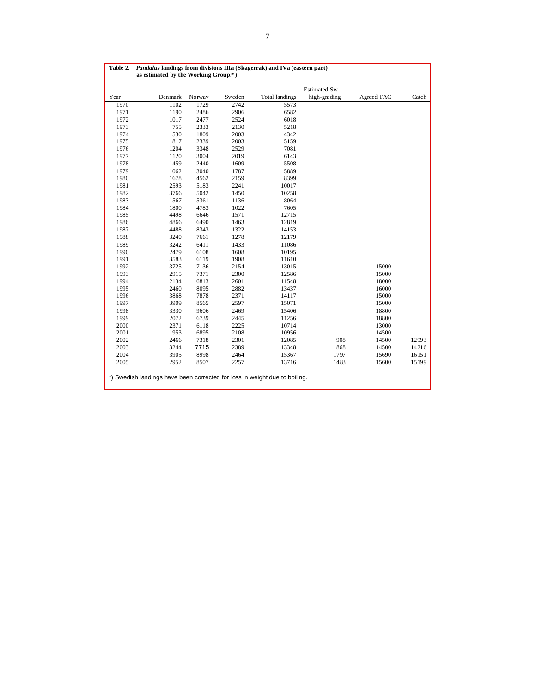| Table 2. |                                                                            | Pandalus landings from divisions IIIa (Skagerrak) and IVa (eastern part)<br>as estimated by the Working Group.*) |        |                       |                     |            |       |  |  |  |  |  |  |
|----------|----------------------------------------------------------------------------|------------------------------------------------------------------------------------------------------------------|--------|-----------------------|---------------------|------------|-------|--|--|--|--|--|--|
|          |                                                                            |                                                                                                                  |        |                       |                     |            |       |  |  |  |  |  |  |
|          |                                                                            |                                                                                                                  |        |                       | <b>Estimated Sw</b> |            |       |  |  |  |  |  |  |
| Year     | Denmark                                                                    | Norway                                                                                                           | Sweden | <b>Total landings</b> | high-grading        | Agreed TAC | Catch |  |  |  |  |  |  |
| 1970     | 1102                                                                       | 1729                                                                                                             | 2742   | 5573                  |                     |            |       |  |  |  |  |  |  |
| 1971     | 1190                                                                       | 2486                                                                                                             | 2906   | 6582                  |                     |            |       |  |  |  |  |  |  |
| 1972     | 1017                                                                       | 2477                                                                                                             | 2524   | 6018                  |                     |            |       |  |  |  |  |  |  |
| 1973     | 755                                                                        | 2333                                                                                                             | 2130   | 5218                  |                     |            |       |  |  |  |  |  |  |
| 1974     | 530                                                                        | 1809                                                                                                             | 2003   | 4342                  |                     |            |       |  |  |  |  |  |  |
| 1975     | 817                                                                        | 2339                                                                                                             | 2003   | 5159                  |                     |            |       |  |  |  |  |  |  |
| 1976     | 1204                                                                       | 3348                                                                                                             | 2529   | 7081                  |                     |            |       |  |  |  |  |  |  |
| 1977     | 1120                                                                       | 3004                                                                                                             | 2019   | 6143                  |                     |            |       |  |  |  |  |  |  |
| 1978     | 1459                                                                       | 2440                                                                                                             | 1609   | 5508                  |                     |            |       |  |  |  |  |  |  |
| 1979     | 1062                                                                       | 3040                                                                                                             | 1787   | 5889                  |                     |            |       |  |  |  |  |  |  |
| 1980     | 1678                                                                       | 4562                                                                                                             | 2159   | 8399                  |                     |            |       |  |  |  |  |  |  |
| 1981     | 2593                                                                       | 5183                                                                                                             | 2241   | 10017                 |                     |            |       |  |  |  |  |  |  |
| 1982     | 3766                                                                       | 5042                                                                                                             | 1450   | 10258                 |                     |            |       |  |  |  |  |  |  |
| 1983     | 1567                                                                       | 5361                                                                                                             | 1136   | 8064                  |                     |            |       |  |  |  |  |  |  |
| 1984     | 1800                                                                       | 4783                                                                                                             | 1022   | 7605                  |                     |            |       |  |  |  |  |  |  |
| 1985     | 4498                                                                       | 6646                                                                                                             | 1571   | 12715                 |                     |            |       |  |  |  |  |  |  |
| 1986     | 4866                                                                       | 6490                                                                                                             | 1463   | 12819                 |                     |            |       |  |  |  |  |  |  |
| 1987     | 4488                                                                       | 8343                                                                                                             | 1322   | 14153                 |                     |            |       |  |  |  |  |  |  |
| 1988     | 3240                                                                       | 7661                                                                                                             | 1278   | 12179                 |                     |            |       |  |  |  |  |  |  |
| 1989     | 3242                                                                       | 6411                                                                                                             | 1433   | 11086                 |                     |            |       |  |  |  |  |  |  |
| 1990     | 2479                                                                       | 6108                                                                                                             | 1608   | 10195                 |                     |            |       |  |  |  |  |  |  |
| 1991     | 3583                                                                       | 6119                                                                                                             | 1908   | 11610                 |                     |            |       |  |  |  |  |  |  |
| 1992     | 3725                                                                       | 7136                                                                                                             | 2154   | 13015                 |                     | 15000      |       |  |  |  |  |  |  |
| 1993     | 2915                                                                       | 7371                                                                                                             | 2300   | 12586                 |                     | 15000      |       |  |  |  |  |  |  |
| 1994     | 2134                                                                       | 6813                                                                                                             | 2601   | 11548                 |                     | 18000      |       |  |  |  |  |  |  |
| 1995     | 2460                                                                       | 8095                                                                                                             | 2882   | 13437                 |                     | 16000      |       |  |  |  |  |  |  |
| 1996     | 3868                                                                       | 7878                                                                                                             | 2371   | 14117                 |                     | 15000      |       |  |  |  |  |  |  |
| 1997     | 3909                                                                       | 8565                                                                                                             | 2597   | 15071                 |                     | 15000      |       |  |  |  |  |  |  |
| 1998     | 3330                                                                       | 9606                                                                                                             | 2469   | 15406                 |                     | 18800      |       |  |  |  |  |  |  |
| 1999     | 2072                                                                       | 6739                                                                                                             | 2445   | 11256                 |                     | 18800      |       |  |  |  |  |  |  |
| 2000     | 2371                                                                       | 6118                                                                                                             | 2225   | 10714                 |                     | 13000      |       |  |  |  |  |  |  |
| 2001     | 1953                                                                       | 6895                                                                                                             | 2108   | 10956                 |                     | 14500      |       |  |  |  |  |  |  |
| 2002     | 2466                                                                       | 7318                                                                                                             | 2301   | 12085                 | 908                 | 14500      | 12993 |  |  |  |  |  |  |
| 2003     | 3244                                                                       | 7715                                                                                                             | 2389   | 13348                 | 868                 | 14500      | 14216 |  |  |  |  |  |  |
| 2004     | 3905                                                                       | 8998                                                                                                             | 2464   | 15367                 | 1797                | 15690      | 16151 |  |  |  |  |  |  |
| 2005     | 2952                                                                       | 8507                                                                                                             | 2257   | 13716                 | 1483                | 15600      | 15199 |  |  |  |  |  |  |
|          | *) Swedish landings have been corrected for loss in weight due to boiling. |                                                                                                                  |        |                       |                     |            |       |  |  |  |  |  |  |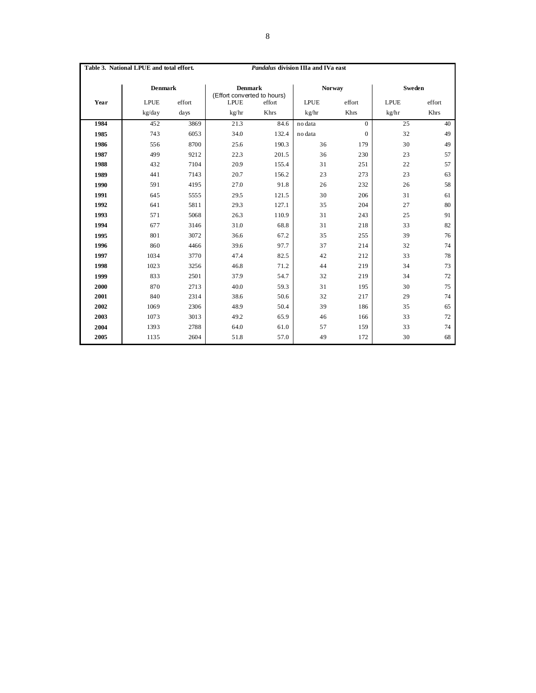|      | Table 3. National LPUE and total effort. |        |                                               | Pandalus division IIIa and IVa east |               |          |             |        |
|------|------------------------------------------|--------|-----------------------------------------------|-------------------------------------|---------------|----------|-------------|--------|
|      | <b>Denmark</b>                           |        | <b>Denmark</b><br>(Effort converted to hours) |                                     | <b>Norway</b> |          | Sweden      |        |
| Year | <b>LPUE</b>                              | effort | <b>LPUE</b><br>effort                         |                                     | <b>LPUE</b>   | effort   | <b>LPUE</b> | effort |
|      | kg/day                                   | days   | kg/hr                                         | Khrs                                |               | Khrs     | kg/hr       | Khrs   |
| 1984 | 452                                      | 3869   | 21.3                                          | 84.6                                | no data       | $\Omega$ | 25          | 40     |
| 1985 | 743                                      | 6053   | 34.0                                          | 132.4                               | no data       | $\Omega$ | 32          | 49     |
| 1986 | 556                                      | 8700   | 25.6                                          | 190.3                               | 36            | 179      | 30          | 49     |
| 1987 | 499                                      | 9212   | 22.3                                          | 201.5                               | 36            | 230      | 23          | 57     |
| 1988 | 432                                      | 7104   | 20.9                                          | 155.4                               | 31            | 251      | 22          | 57     |
| 1989 | 441                                      | 7143   | 20.7                                          | 156.2                               | 23            | 273      | 23          | 63     |
| 1990 | 591                                      | 4195   | 27.0                                          | 91.8                                | 26            | 232      | 26          | 58     |
| 1991 | 645                                      | 5555   | 29.5                                          | 121.5                               | 30            | 206      | 31          | 61     |
| 1992 | 641                                      | 5811   | 29.3                                          | 127.1                               | 35            | 204      | 27          | 80     |
| 1993 | 571                                      | 5068   | 26.3                                          | 110.9                               | 31            | 243      | 25          | 91     |
| 1994 | 677                                      | 3146   | 31.0                                          | 68.8                                | 31            | 218      | 33          | 82     |
| 1995 | 801                                      | 3072   | 36.6                                          | 67.2                                | 35            | 255      | 39          | 76     |
| 1996 | 860                                      | 4466   | 39.6                                          | 97.7                                | 37            | 214      | 32          | 74     |
| 1997 | 1034                                     | 3770   | 47.4                                          | 82.5                                | 42            | 212      | 33          | 78     |
| 1998 | 1023                                     | 3256   | 46.8                                          | 71.2                                | 44            | 219      | 34          | 73     |
| 1999 | 833                                      | 2501   | 37.9                                          | 54.7                                | 32            | 219      | 34          | 72     |
| 2000 | 870                                      | 2713   | 40.0                                          | 59.3                                | 31            | 195      | 30          | 75     |
| 2001 | 840                                      | 2314   | 38.6                                          | 50.6                                | 32            | 217      | 29          | 74     |
| 2002 | 1069                                     | 2306   | 48.9                                          | 50.4                                | 39            | 186      | 35          | 65     |
| 2003 | 1073                                     | 3013   | 49.2                                          | 65.9                                | 46            | 166      | 33          | 72     |
| 2004 | 1393                                     | 2788   | 64.0                                          | 61.0                                | 57            | 159      | 33          | 74     |
| 2005 | 1135                                     | 2604   | 51.8                                          | 57.0                                | 49            | 172      | 30          | 68     |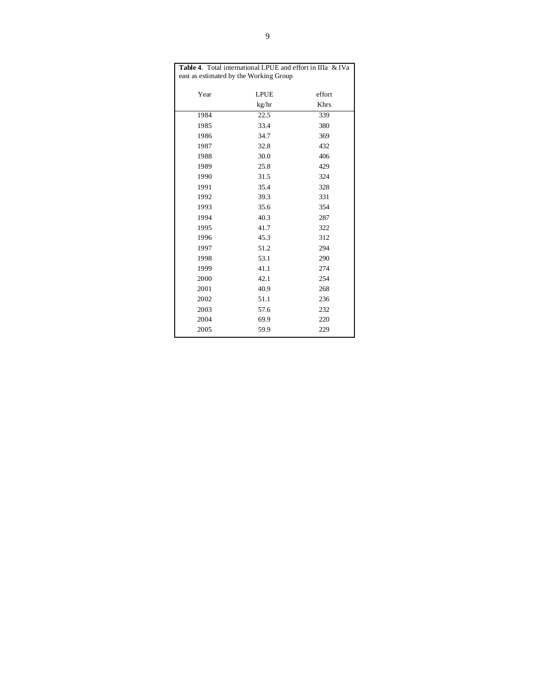| Table 4. Total international LPUE and effort in IIIa & IVa |                                        |        |  |  |  |  |  |  |  |  |
|------------------------------------------------------------|----------------------------------------|--------|--|--|--|--|--|--|--|--|
|                                                            | east as estimated by the Working Group |        |  |  |  |  |  |  |  |  |
| Year                                                       | <b>LPUE</b>                            | effort |  |  |  |  |  |  |  |  |
|                                                            | kg/hr                                  | Khrs   |  |  |  |  |  |  |  |  |
| 1984                                                       | 22.5                                   | 339    |  |  |  |  |  |  |  |  |
| 1985                                                       | 33.4                                   | 380    |  |  |  |  |  |  |  |  |
| 1986                                                       | 34.7                                   | 369    |  |  |  |  |  |  |  |  |
| 1987                                                       | 32.8                                   | 432    |  |  |  |  |  |  |  |  |
| 1988                                                       | 30.0                                   | 406    |  |  |  |  |  |  |  |  |
| 1989                                                       | 25.8                                   | 429    |  |  |  |  |  |  |  |  |
| 1990                                                       | 31.5                                   | 324    |  |  |  |  |  |  |  |  |
| 1991                                                       | 35.4                                   | 328    |  |  |  |  |  |  |  |  |
| 1992                                                       | 39.3                                   | 331    |  |  |  |  |  |  |  |  |
| 1993                                                       | 35.6                                   | 354    |  |  |  |  |  |  |  |  |
| 1994                                                       | 40.3                                   | 287    |  |  |  |  |  |  |  |  |
| 1995                                                       | 41.7                                   | 322    |  |  |  |  |  |  |  |  |
| 1996                                                       | 45.3                                   | 312    |  |  |  |  |  |  |  |  |
| 1997                                                       | 51.2                                   | 294    |  |  |  |  |  |  |  |  |
| 1998                                                       | 53.1                                   | 290    |  |  |  |  |  |  |  |  |
| 1999                                                       | 41.1                                   | 274    |  |  |  |  |  |  |  |  |
| 2000                                                       | 42.1                                   | 254    |  |  |  |  |  |  |  |  |
| 2001                                                       | 40.9                                   | 268    |  |  |  |  |  |  |  |  |
| 2002                                                       | 51.1                                   | 236    |  |  |  |  |  |  |  |  |
| 2003                                                       | 57.6                                   | 232    |  |  |  |  |  |  |  |  |
| 2004                                                       | 69.9                                   | 220    |  |  |  |  |  |  |  |  |
| 2005                                                       | 59.9                                   | 229    |  |  |  |  |  |  |  |  |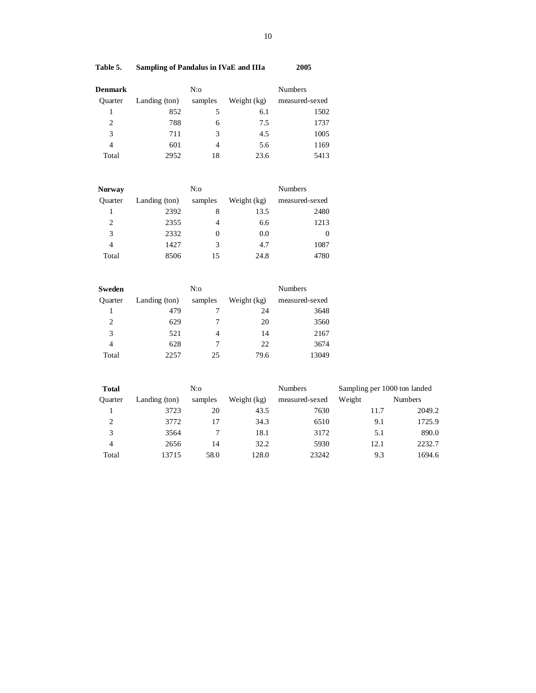# **Table 5. Sampling of Pandalus in IVaE and IIIa 2005**

| <b>Denmark</b> |               |         | <b>Numbers</b> |                |  |
|----------------|---------------|---------|----------------|----------------|--|
| <b>Ouarter</b> | Landing (ton) | samples | Weight (kg)    | measured-sexed |  |
|                | 852           |         | 6.1            | 1502           |  |
| $\overline{c}$ | 788           | 6       | 7.5            | 1737           |  |
| 3              | 711           | 3       | 4.5            | 1005           |  |
| $\overline{4}$ | 601           |         | 5.6            | 1169           |  |
| Total          | 2952          | 18      | 23.6           | 5413           |  |

| <b>Norway</b> |               | $N$ :0   |             |                |  |  |  |  |  |
|---------------|---------------|----------|-------------|----------------|--|--|--|--|--|
| Ouarter       | Landing (ton) | samples  | Weight (kg) | measured-sexed |  |  |  |  |  |
|               | 2392          | 8        | 13.5        | 2480           |  |  |  |  |  |
| 2             | 2355          | 4        | 6.6         | 1213           |  |  |  |  |  |
| 3             | 2332          | $\theta$ | 0.0         | $\theta$       |  |  |  |  |  |
| 4             | 1427          | 3        | 4.7         | 1087           |  |  |  |  |  |
| Total         | 8506          | 15       | 24.8        | 4780           |  |  |  |  |  |

| Sweden         |               | N:o     |             |                |  |  |  |  |  |
|----------------|---------------|---------|-------------|----------------|--|--|--|--|--|
| <b>Ouarter</b> | Landing (ton) | samples | Weight (kg) | measured-sexed |  |  |  |  |  |
|                | 479           |         | 24          | 3648           |  |  |  |  |  |
| 2              | 629           |         | 20          | 3560           |  |  |  |  |  |
| 3              | 521           | 4       | 14          | 2167           |  |  |  |  |  |
| 4              | 628           |         | 22          | 3674           |  |  |  |  |  |
| Total          | 2257          | 25      | 79.6        | 13049          |  |  |  |  |  |

| <b>Total</b>   |               | N:      |             | <b>Numbers</b> | Sampling per 1000 ton landed |                |  |  |
|----------------|---------------|---------|-------------|----------------|------------------------------|----------------|--|--|
| <b>Ouarter</b> | Landing (ton) | samples | Weight (kg) | measured-sexed | Weight                       | <b>Numbers</b> |  |  |
|                | 3723          | 20      | 43.5        | 7630           | 11.7                         | 2049.2         |  |  |
| 2              | 3772          | 17      | 34.3        | 6510           | 9.1                          | 1725.9         |  |  |
| 3              | 3564          |         | 18.1        | 3172           | 5.1                          | 890.0          |  |  |
| $\overline{4}$ | 2656          | 14      | 32.2        | 5930           | 12.1                         | 2232.7         |  |  |
| Total          | 13715         | 58.0    | 128.0       | 23242          | 9.3                          | 1694.6         |  |  |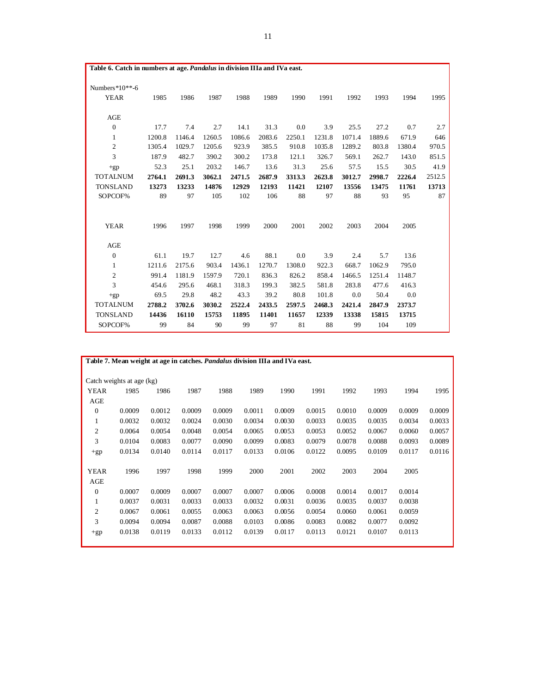| Table 6. Catch in numbers at age. Pandalus in division IIIa and IVa east. |        |        |        |        |        |        |        |        |        |        |        |
|---------------------------------------------------------------------------|--------|--------|--------|--------|--------|--------|--------|--------|--------|--------|--------|
|                                                                           |        |        |        |        |        |        |        |        |        |        |        |
| Numbers $*10**-6$                                                         |        |        |        |        |        |        |        |        |        |        |        |
| <b>YEAR</b>                                                               | 1985   | 1986   | 1987   | 1988   | 1989   | 1990   | 1991   | 1992   | 1993   | 1994   | 1995   |
|                                                                           |        |        |        |        |        |        |        |        |        |        |        |
| AGE                                                                       |        |        |        |        |        |        |        |        |        |        |        |
| $\mathbf{0}$                                                              | 17.7   | 7.4    | 2.7    | 14.1   | 31.3   | 0.0    | 3.9    | 25.5   | 27.2   | 0.7    | 2.7    |
| $\mathbf{1}$                                                              | 1200.8 | 1146.4 | 1260.5 | 1086.6 | 2083.6 | 2250.1 | 1231.8 | 1071.4 | 1889.6 | 671.9  | 646    |
| $\mathfrak{2}$                                                            | 1305.4 | 1029.7 | 1205.6 | 923.9  | 385.5  | 910.8  | 1035.8 | 1289.2 | 803.8  | 1380.4 | 970.5  |
| 3                                                                         | 187.9  | 482.7  | 390.2  | 300.2  | 173.8  | 121.1  | 326.7  | 569.1  | 262.7  | 143.0  | 851.5  |
| $+gp$                                                                     | 52.3   | 25.1   | 203.2  | 146.7  | 13.6   | 31.3   | 25.6   | 57.5   | 15.5   | 30.5   | 41.9   |
| <b>TOTALNUM</b>                                                           | 2764.1 | 2691.3 | 3062.1 | 2471.5 | 2687.9 | 3313.3 | 2623.8 | 3012.7 | 2998.7 | 2226.4 | 2512.5 |
| <b>TONSLAND</b>                                                           | 13273  | 13233  | 14876  | 12929  | 12193  | 11421  | 12107  | 13556  | 13475  | 11761  | 13713  |
| SOPCOF%                                                                   | 89     | 97     | 105    | 102    | 106    | 88     | 97     | 88     | 93     | 95     | 87     |
|                                                                           |        |        |        |        |        |        |        |        |        |        |        |
|                                                                           |        |        |        |        |        |        |        |        |        |        |        |
| <b>YEAR</b>                                                               | 1996   | 1997   | 1998   | 1999   | 2000   | 2001   | 2002   | 2003   | 2004   | 2005   |        |
|                                                                           |        |        |        |        |        |        |        |        |        |        |        |
| AGE                                                                       |        |        |        |        |        |        |        |        |        |        |        |
| $\boldsymbol{0}$                                                          | 61.1   | 19.7   | 12.7   | 4.6    | 88.1   | 0.0    | 3.9    | 2.4    | 5.7    | 13.6   |        |
| 1                                                                         | 1211.6 | 2175.6 | 903.4  | 1436.1 | 1270.7 | 1308.0 | 922.3  | 668.7  | 1062.9 | 795.0  |        |
| $\overline{c}$                                                            | 991.4  | 1181.9 | 1597.9 | 720.1  | 836.3  | 826.2  | 858.4  | 1466.5 | 1251.4 | 1148.7 |        |
| 3                                                                         | 454.6  | 295.6  | 468.1  | 318.3  | 199.3  | 382.5  | 581.8  | 283.8  | 477.6  | 416.3  |        |
| $+gp$                                                                     | 69.5   | 29.8   | 48.2   | 43.3   | 39.2   | 80.8   | 101.8  | 0.0    | 50.4   | 0.0    |        |
| <b>TOTALNUM</b>                                                           | 2788.2 | 3702.6 | 3030.2 | 2522.4 | 2433.5 | 2597.5 | 2468.3 | 2421.4 | 2847.9 | 2373.7 |        |
| <b>TONSLAND</b>                                                           | 14436  | 16110  | 15753  | 11895  | 11401  | 11657  | 12339  | 13338  | 15815  | 13715  |        |
| SOPCOF%                                                                   | 99     | 84     | 90     | 99     | 97     | 81     | 88     | 99     | 104    | 109    |        |

|                | Table 7. Mean weight at age in catches. <i>Pandalus</i> division IIIa and IVa east. |        |        |        |        |        |        |        |        |        |        |
|----------------|-------------------------------------------------------------------------------------|--------|--------|--------|--------|--------|--------|--------|--------|--------|--------|
|                |                                                                                     |        |        |        |        |        |        |        |        |        |        |
|                | Catch weights at age (kg)                                                           |        |        |        |        |        |        |        |        |        |        |
| <b>YEAR</b>    | 1985                                                                                | 1986   | 1987   | 1988   | 1989   | 1990   | 1991   | 1992   | 1993   | 1994   | 1995   |
| AGE            |                                                                                     |        |        |        |        |        |        |        |        |        |        |
| $\theta$       | 0.0009                                                                              | 0.0012 | 0.0009 | 0.0009 | 0.0011 | 0.0009 | 0.0015 | 0.0010 | 0.0009 | 0.0009 | 0.0009 |
| 1              | 0.0032                                                                              | 0.0032 | 0.0024 | 0.0030 | 0.0034 | 0.0030 | 0.0033 | 0.0035 | 0.0035 | 0.0034 | 0.0033 |
| 2              | 0.0064                                                                              | 0.0054 | 0.0048 | 0.0054 | 0.0065 | 0.0053 | 0.0053 | 0.0052 | 0.0067 | 0.0060 | 0.0057 |
| 3              | 0.0104                                                                              | 0.0083 | 0.0077 | 0.0090 | 0.0099 | 0.0083 | 0.0079 | 0.0078 | 0.0088 | 0.0093 | 0.0089 |
| $+gp$          | 0.0134                                                                              | 0.0140 | 0.0114 | 0.0117 | 0.0133 | 0.0106 | 0.0122 | 0.0095 | 0.0109 | 0.0117 | 0.0116 |
|                |                                                                                     |        |        |        |        |        |        |        |        |        |        |
| <b>YEAR</b>    | 1996                                                                                | 1997   | 1998   | 1999   | 2000   | 2001   | 2002   | 2003   | 2004   | 2005   |        |
| AGE            |                                                                                     |        |        |        |        |        |        |        |        |        |        |
| $\theta$       | 0.0007                                                                              | 0.0009 | 0.0007 | 0.0007 | 0.0007 | 0.0006 | 0.0008 | 0.0014 | 0.0017 | 0.0014 |        |
| 1              | 0.0037                                                                              | 0.0031 | 0.0033 | 0.0033 | 0.0032 | 0.0031 | 0.0036 | 0.0035 | 0.0037 | 0.0038 |        |
| $\overline{c}$ | 0.0067                                                                              | 0.0061 | 0.0055 | 0.0063 | 0.0063 | 0.0056 | 0.0054 | 0.0060 | 0.0061 | 0.0059 |        |
| 3              | 0.0094                                                                              | 0.0094 | 0.0087 | 0.0088 | 0.0103 | 0.0086 | 0.0083 | 0.0082 | 0.0077 | 0.0092 |        |
| $+gp$          | 0.0138                                                                              | 0.0119 | 0.0133 | 0.0112 | 0.0139 | 0.0117 | 0.0113 | 0.0121 | 0.0107 | 0.0113 |        |
|                |                                                                                     |        |        |        |        |        |        |        |        |        |        |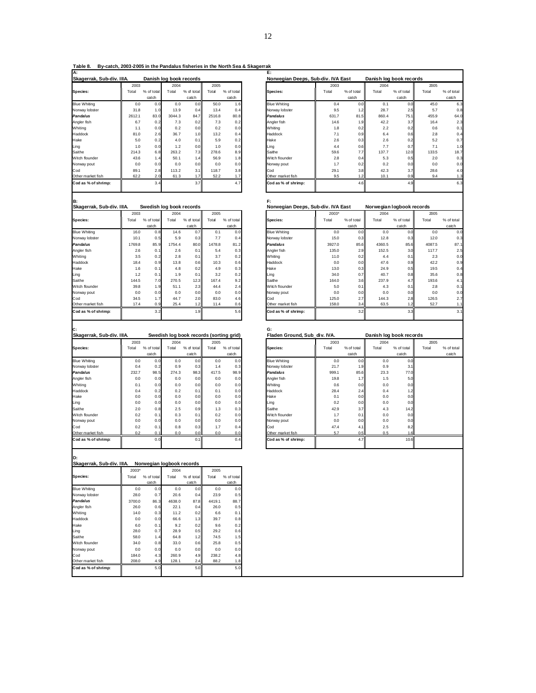**Table 8. By-catch, 2003-2005 in the Pandalus fisheries in the North Sea & Skagerrak A: E:**

| м.                        |        |            |        |                         |        |            |                                    |       |                  |                         |            |  |
|---------------------------|--------|------------|--------|-------------------------|--------|------------|------------------------------------|-------|------------------|-------------------------|------------|--|
| Skagerrak, Sub-div. IIIA. |        |            |        | Danish log book records |        |            | Norwegian Deeps, Sub-div. IVA East |       |                  | Danish log book records |            |  |
|                           | 2003   |            | 2004   |                         | 2005   |            |                                    | 2003  |                  | 2004                    |            |  |
| Species:                  | Total  | % of total | Total  | % of total              | Total  | % of total | Species:                           | Total | % of total       | Total                   | % of total |  |
|                           |        | catch      |        | catch                   |        | catch      |                                    |       | catch            |                         | catch      |  |
| <b>Blue Whiting</b>       | 0.0    | 0.0        | 0.0    | 0.0                     | 50.0   | 1.6        | <b>Blue Whiting</b>                | 0.4   | 0.0              | 0.1                     | 0.0        |  |
| Norway lobster            | 31.8   | 1.0        | 13.9   | 0.4                     | 13.4   | 0.4        | Norway lobster                     | 9.5   | 1.2              | 28.7                    | 2.5        |  |
| Pandalus                  | 2612.1 | 83.0       | 3044.3 | 84.7                    | 2516.8 | 80.8       | <b>Pandalus</b>                    | 631.7 | 81.5             | 860.4                   | 75.1       |  |
| Angler fish               | 6.7    | 0.2        | 7.3    | 0.2                     | 7.3    | 0.2        | Angler fish                        | 14.6  | 1.9 <sub>1</sub> | 42.2                    | 3.7        |  |
| Whiting                   | 1.1    | 0.0        | 0.2    | 0.0                     | 0.2    | 0.0        | Whiting                            | 1.8   | 0.2              | 2.2                     | 0.2        |  |
| Haddock                   | 81.0   | 2.6        | 36.7   | 1.0                     | 13.2   | 0.4        | Haddock                            | 7.1   | 0.9              | 6.4                     | 0.6        |  |
| Hake                      | 5.0    | 0.2        | 4.0    | 0.1                     | 5.9    | 0.2        | Hake                               | 2.6   | 0.3              | 2.6                     | 0.2        |  |
| Ling                      | 1.0    | 0.0        | 1.2    | 0.0                     | 1.0    | 0.0        | Ling                               | 4.4   | 0.6              | 7.7                     | 0.7        |  |
| Saithe                    | 214.3  | 6.8        | 263.2  | 7.3                     | 278.6  | 8.9        | Saithe                             | 59.6  | 7.7              | 137.7                   | 12.0       |  |
| Witch flounder            | 43.6   | 1.4        | 50.1   | 1.4                     | 56.9   | 1.8        | Witch flounder                     | 2.8   | 0.4              | 5.3                     | 0.5        |  |
| Norway pout               | 0.0    | 0.0        | 0.0    | 0.0                     | 0.0    | 0.0        | Norway pout                        | 1.7   | 0.2              | 0.2                     | 0.0        |  |
| Cod                       | 89.1   | 2.8        | 113.2  | 3.1                     | 118.7  | 3.8        | Cod                                | 29.1  | 3.8              | 42.3                    | 3.7        |  |
| Other market fish         | 62.2   | 2.0        | 61.3   | 1.7                     | 52.2   | 1.7        | Other market fish                  | 9.5   | 1.2              | 10.1                    | 0.9        |  |
| Cod as % of shrimp:       |        | 3.4        |        | 3.7                     |        | 4.7        | Cod as % of shrimp:                |       | 4.6              |                         | 4.9        |  |
|                           |        |            |        |                         |        |            |                                    |       |                  |                         |            |  |

| Skagerrak, Sub-div. IIIA. |        |            |        | Danish log book records |        |            | Norwegian Deeps, Sub-div. IVA East |       |                  | Danish log book records |                 |       |            |
|---------------------------|--------|------------|--------|-------------------------|--------|------------|------------------------------------|-------|------------------|-------------------------|-----------------|-------|------------|
|                           | 2003   |            | 2004   |                         | 2005   |            |                                    | 2003  |                  | 2004                    |                 | 2005  |            |
| Species:                  | Total  | % of total | Total  | % of total              | Total  | % of total | Species:                           | Total | % of total       | Total                   | % of total      | Total | % of total |
|                           |        | catch      |        | catch                   |        | catch      |                                    |       | catch            |                         | catch           |       | catch      |
| <b>Blue Whiting</b>       | 0.0    | 0.0        | 0.0    | 0.0                     | 50.0   | 1.6        | <b>Blue Whiting</b>                | 0.4   | 0.0              | 0.1                     | 0.0             | 45.0  | 6.3        |
| Norway lobster            | 31.8   | 1.0        | 13.9   | 0.4                     | 13.4   | 0.4        | Norway lobster                     | 9.5   | 1.2 <sub>1</sub> | 28.7                    | 2.5             | 5.7   | 0.8        |
| Pandalus                  | 2612.1 | 83.0       | 3044.3 | 84.7                    | 2516.8 | 80.8       | <b>Pandalus</b>                    | 631.7 | 81.5             | 860.4                   | 75.1            | 455.9 | 64.0       |
| Angler fish               | 6.7    | 0.2        | 7.3    | 0.2                     | 7.3    | 0.2        | Angler fish                        | 14.6  | 1.9              | 42.2                    | 3.7             | 16.4  | 2.3        |
| Whiting                   | 1.1    | 0.0        | 0.2    | 0.0                     | 0.2    | 0.0        | Whitina                            | 1.8   | 0.2              | 2.2                     | 0.2             | 0.6   | 0.1        |
| Haddock                   | 81.0   | 2.6        | 36.7   | 1.0                     | 13.2   | 0.4        | Haddock                            | 7.1   | 0.9              | 6.4                     | 0.6             | 2.8   | 0.4        |
| Hake                      | 5.0    | 0.2        | 4.0    | 0.1                     | 5.9    | 0.2        | Hake                               | 2.6   | 0.3              | 2.6                     | 0.2             | 5.2   | 0.7        |
| Ling                      | 1.0    | 0.0        | 1.2    | 0.0                     | 1.0    | 0.0        | Ling                               | 4.4   | 0.6              | 7.7                     | 0.7             | 7.1   | 1.0        |
| Saithe                    | 214.3  | 6.8        | 263.2  | 7.3                     | 278.6  | 8.9        | Saithe                             | 59.6  | 7.7              | 137.7                   | 12 <sub>c</sub> | 133.5 | 18.7       |
| Witch flounder            | 43.6   | 1.4        | 50.1   | 1.4                     | 56.9   | 1.8        | Witch flounder                     | 2.8   | 0.4              | 5.3                     | 0.5             | 2.0   | 0.3        |
| Norway pout               | 0.0    | 0.0        | 0.0    | 0.0                     | 0.0    | 0.0        | Norway pout                        | 1.7   | 0.2              | 0.2                     | 0.0             | 0.0   | 0.0        |
| Cod                       | 89.1   | 2.8        | 113.2  | 3.1                     | 118.7  | 3.8        | Cod                                | 29.1  | 3.8              | 42.3                    | 3.7             | 28.6  | 4.0        |
| Other market fish         | 62.2   | 2.0        | 61.3   | 1.7                     | 52.2   | 1.7        | Other market fish                  | 9.5   | 1.2              | 10.1                    | 0.9             | 9.4   |            |
| Cod as % of shrimp:       |        | 3.4        |        | 3.7                     |        | 4.7        | Cod as % of shrimp:                |       | 4.6              |                         | 4.9             |       | 6.3        |
|                           |        |            |        |                         |        |            |                                    |       |                  |                         |                 |       |            |

| IB:                       |        |            |        |                          |        |            |                     | F:                                 |            |        |                           |        |            |
|---------------------------|--------|------------|--------|--------------------------|--------|------------|---------------------|------------------------------------|------------|--------|---------------------------|--------|------------|
| Skagerrak, Sub-div. IIIA. |        |            |        | Swedish log book records |        |            |                     | Norwegian Deeps, Sub-div. IVA East |            |        | Norwegian logbook records |        |            |
|                           | 2003   |            | 2004   |                          | 2005   |            |                     | 2003*                              |            | 2004   |                           | 2005   |            |
| Species:                  | Total  | % of total | Total  | % of total               | Total  | % of total | Species:            | Total                              | % of total | Total  | % of total                | Total  | % of total |
|                           |        | catch      |        | catch                    |        | catch      |                     |                                    | catch      |        | catch                     |        | catch      |
| <b>Blue Whiting</b>       | 16.0   | 0.8        | 14.6   | 0.7                      | 0.1    | 0.0        | <b>Blue Whiting</b> | 0.0                                | 0.0        | 0.0    | 0.0                       | 0.0    | 0.0        |
| Norway lobster            | 10.1   | 0.5        | 5.9    | 0.3                      | 7.7    | 0.4        | Norway lobster      | 15.0                               | 0.3        | 12.8   | 0.3                       | 12.0   | 0.3        |
| Pandalus                  | 1769.8 | 85.9       | 1754.4 | 80.0                     | 1478.8 | 81.2       | <b>Pandalus</b>     | 3927.0                             | 85.6       | 4360.5 | 85.6                      | 4087.5 | 87.1       |
| Angler fish               | 2.6    | 0.1        | 2.6    | 0.1                      | 5.4    | 0.3        | Angler fish         | 135.0                              | 2.9        | 152.5  | 3.0                       | 117.7  | 2.5        |
| Whiting                   | 3.5    | 0.2        | 2.8    | 0.1                      | 3.7    | 0.2        | Whiting             | 11.0                               | 0.2        | 4.4    | 0.1                       | 2.3    | 0.0        |
| Haddock                   | 18.4   | 0.9        | 13.8   | 0.6                      | 10.3   | 0.6        | Haddock             | 0.0                                | 0.0        | 47.6   | 0.9                       | 42.2   | 0.9        |
| Hake                      | 1.6    | 0.1        | 4.8    | 0.2                      | 4.9    | 0.3        | Hake                | 13.0                               | 0.3        | 24.9   | 0.5                       | 19.5   | 0.4        |
| Ling                      | 1.2    | 0.1        | 1.9    | 0.1                      | 3.2    | 0.2        | Ling                | 34.0                               | 0.7        | 40.7   | 0.8                       | 35.6   | 0.8        |
| Saithe                    | 144.5  | 7.0        | 270.5  | 12.3                     | 167.4  | 9.2        | Saithe              | 164.0                              | 3.6        | 237.9  | 4.7                       | 193.6  | 4.1        |
| Witch flounder            | 39.8   | 1.9        | 51.1   | 2.3                      | 44.4   | 2.4        | Witch flounder      | 5.0                                | 0.1        | 4.3    | 0.1                       | 2.8    | 0.1        |
| Norway pout               | 0.0    | 0.0        | 0.0    | 0.0                      | 0.0    | 0.0        | Norway pout         | 0.0                                | 0.0        | 0.0    | 0.0                       | 0.0    | 0.0        |
| Cod                       | 34.5   | 1.7        | 44.7   | 2.0                      | 83.0   | 4.6        | Cod                 | 125.0                              | 2.7        | 144.3  | 2.8                       | 126.5  | 2.7        |
| Other market fish         | 17.4   | 0.9        | 25.4   | 1.2                      | 11.4   | 0.6        | Other market fish   | 158.0                              | 3.4        | 63.5   | 1.2                       | 52.7   | 1.1        |
| Cod as % of shrimp:       |        | 3.2        |        | 1.9                      |        | 5.6        | Cod as % of shrimp: |                                    | 3.2        |        | 3.3                       |        | 3.1        |
|                           |        |            |        |                          |        |            |                     |                                    |            |        |                           |        |            |
|                           |        |            |        |                          |        |            |                     |                                    |            |        |                           |        |            |

|                           |       |            |       |                                         |       |            | G:                           |       |            |                         |              |  |
|---------------------------|-------|------------|-------|-----------------------------------------|-------|------------|------------------------------|-------|------------|-------------------------|--------------|--|
| Skagerrak, Sub-div. IIIA. |       |            |       | Swedish log book records (sorting grid) |       |            | Fladen Ground, Sub div. IVA. |       |            | Danish log book records |              |  |
|                           | 2003  |            | 2004  |                                         | 2005  |            |                              | 2003  |            | 2004                    |              |  |
| Species:                  | Total | % of total | Total | % of total                              | Total | % of total | Species:                     | Total | % of total | Total                   | % of total   |  |
|                           |       | catch      |       | catch                                   |       | catch      |                              |       | catch      |                         | catch        |  |
| <b>Blue Whiting</b>       | 0.0   | 0.0        | 0.0   | 0.0                                     | 0.0   | 0.0        | <b>Blue Whiting</b>          | 0.0   | 0.0        | 0.0                     | 0.0          |  |
| Norway lobster            | 0.4   | 0.2        | 0.9   | 0.3                                     | 1.4   | 0.3        | Norway lobster               | 21.7  | 1.9        | 0.9                     | 3.1          |  |
| Pandalus                  | 232.7 | 98.5       | 274.3 | 98.3                                    | 417.5 | 98.9       | <b>Pandalus</b>              | 999.1 | 85.6       | 23.3                    | 77.0         |  |
| Angler fish               | 0.0   | 0.0        | 0.0   | 0.0                                     | 0.0   | 0.0        | Angler fish                  | 19.8  | 1.7        | 1.5                     | 5.0          |  |
| Whitina                   | 0.1   | 0.0        | 0.0   | 0.0                                     | 0.0   | 0.0        | Whiting                      | 0.6   | 0.0        | 0.0                     | 0.0          |  |
| Haddock                   | 0.4   | 0.2        | 0.2   | 0.1                                     | 0.1   | 0.0        | Haddock                      | 28.4  | 2.4        | 0.4                     | 1.2          |  |
| Hake                      | 0.0   | 0.0        | 0.0   | 0.0                                     | 0.0   | 0.0        | Hake                         | 0.1   | 0.0        | 0.0                     | 0.0          |  |
| Ling                      | 0.0   | 0.0        | 0.0   | 0.0                                     | 0.0   | 0.0        | Ling                         | 0.2   | 0.0        | 0.0                     | 0.0          |  |
| Saithe                    | 2.0   | 0.8        | 2.5   | 0.9                                     | 1.3   | 0.3        | Saithe                       | 42.9  | 3.7        | 4.3                     | 14.2         |  |
| Witch flounder            | 0.2   | 0.1        | 0.3   | 0.1                                     | 0.2   | 0.0        | Witch flounder               | 1.7   | 0.1        | 0.0                     | 0.0          |  |
| Norway pout               | 0.0   | 0.0        | 0.0   | 0.0                                     | 0.0   | 0.0        | Norway pout                  | 0.0   | 0.0        | 0.0                     | 0.0          |  |
| Cod                       | 0.2   | 0.1        | 0.8   | 0.3                                     | 1.7   | 0.4        | Cod                          | 47.4  | 4.1        | 2.5                     | 8.2          |  |
| Other market fish         | 0.2   | 0.1        | 0.0   | 0.0                                     | 0.0   | 0.0        | Other market fish            | 5.7   | 0.5        | 0.5                     | $.6^{\circ}$ |  |
| Cod as % of shrimp:       |       | 0.0        |       | 0.1                                     |       | 0.4        | Cod as % of shrimp:          |       | 4.7        |                         | 10.6         |  |
|                           |       |            |       |                                         |       |            |                              |       |            |                         |              |  |

| Witch flounder            | 39.8  | 1.9        | 51.1  | 2.3                                     | 44.4  | 2.4        | Witch flounder                     | 5.0   | 0.1        | 4.3                     | 0.1        | 2.8   |            |
|---------------------------|-------|------------|-------|-----------------------------------------|-------|------------|------------------------------------|-------|------------|-------------------------|------------|-------|------------|
| Norway pout               | 0.0   | 0.0        | 0.0   | 0.0                                     | 0.0   | 0.0        | Norway pout                        | 0.0   | 0.0        | 0.0                     | 0.0        | 0.0   |            |
| Cod                       | 34.5  | 1.7        | 44.7  | 2.0                                     | 83.0  | 4.6        | Cod                                | 125.0 | 2.7        | 144.3                   | 2.8        | 126.5 |            |
| Other market fish         | 17.4  | 0.9        | 25.4  | 1.2                                     | 11.4  | 0.6        | Other market fish                  | 158.0 | 3.4        | 63.5                    | 1.2        | 52.7  |            |
| Cod as % of shrimp:       |       | 3.2        |       | 1.9                                     |       | 5.6        | Cod as % of shrimp:                |       | 3.2        |                         | 3.3        |       |            |
| Skagerrak, Sub-div. IIIA. |       |            |       | Swedish log book records (sorting grid) |       |            | G:<br>Fladen Ground, Sub div. IVA. |       |            | Danish log book records |            |       |            |
|                           | 2003  |            | 2004  |                                         | 2005  |            |                                    | 2003  |            | 2004                    |            | 2005  |            |
| Species:                  | Total | % of total | Total | % of total                              | Total | % of total | Species:                           | Total | % of total | Total                   | % of total | Total | % of total |
|                           |       | catch      |       | catch                                   |       | catch      |                                    |       | catch      |                         | catch      |       | catch      |
| <b>Blue Whiting</b>       | 0.0   | 0.0        | 0.0   | 0.0                                     | 0.0   | 0.0        | <b>Blue Whiting</b>                | 0.0   | 0.0        | 0.0                     | 0.0        |       |            |
| Norway lobster            | 0.4   | 0.2        | 0.9   | 0.3                                     | 1.4   | 0.3        | Norway lobster                     | 21.7  | 1.9        | 0.9                     | 3.1        |       |            |
| Pandalus                  | 232.7 | 98.5       | 274.3 | 98.3                                    | 417.5 | 98.9       | <b>Pandalus</b>                    | 999.1 | 85.6       | 23.3                    | 77.0       |       |            |
| Angler fish               | 0.0   | 0.0        | 0.0   | 0.0                                     | 0.0   | 0.0        | Angler fish                        | 19.8  | 1.7        | 1.5                     | 5.0        |       |            |
| Whiting                   | 0.1   | 0.0        | 0.0   | 0.0                                     | 0.0   | 0.0        | Whiting                            | 0.6   | 0.0        | 0.0                     | 0.0        |       |            |
| Haddock                   | 0.4   | 0.2        | 0.2   | 0.1                                     | 0.1   | 0.0        | Haddock                            | 28.4  | 2.4        | 0.4                     | 1.2        |       |            |
| Hake                      | 0.0   | 0.0        | 0.0   | 0.0                                     | 0.0   | 0.0        | Hake                               | 0.1   | 0.0        | 0.0                     | 0.0        |       |            |
| Ling                      | 0.0   | 0.0        | 0.0   | 0.0                                     | 0.0   | 0.0        | Ling                               | 0.2   | 0.0        | 0.0                     | 0.0        |       |            |
| Saithe                    | 2.0   | 0.8        | 2.5   | 0.9                                     | 1.3   | 0.3        | Saithe                             | 42.9  | 3.7        | 4.3                     | 14.2       |       |            |
| Witch flounder            | 0.2   | 0.11       | 0.3   | 0.1                                     | 0.2   | 0.0        | Witch flounder                     | 1.7   | 0.1        | 0.0                     | 0.0        |       |            |

| ID:                       |                           |
|---------------------------|---------------------------|
| Skagerrak, Sub-div, IIIA. | Norwegian logbook records |
|                           |                           |

|                     | 2003*  |            | 2004   |            | 2005   |            |
|---------------------|--------|------------|--------|------------|--------|------------|
| Species:            | Total  | % of total | Total  | % of total | Total  | % of total |
|                     |        | catch      |        | catch      |        | catch      |
| <b>Blue Whiting</b> | 0.0    | 0.0        | 0.0    | 0.0        | 0.0    | 0.0        |
| Norway lobster      | 28.0   | 0.7        | 20.6   | 0.4        | 23.9   | 0.5        |
| Pandalus            | 3700.0 | 86.3       | 4638.0 | 87.8       | 4419.1 | 88.7       |
| Angler fish         | 26.0   | 0.6        | 22.1   | 0.4        | 26.0   | 0.5        |
| Whitina             | 14.0   | 0.3        | 11.2   | 0.2        | 6.6    | 0.1        |
| Haddock             | 0.0    | 0.0        | 66.6   | 1.3        | 39.7   | 0.8        |
| Hake                | 6.0    | 0.1        | 9.2    | 0.2        | 9.6    | 0.2        |
| Ling                | 28.0   | 0.7        | 28.9   | 0.5        | 29.2   | 0.6        |
| Saithe              | 58.0   | 1.4        | 64.8   | 1.2        | 74.5   | 1.5        |
| Witch flounder      | 34.0   | 0.8        | 33.0   | 0.6        | 25.8   | 0.5        |
| Norway pout         | 0.0    | 0.0        | 0.0    | 0.0        | 0.0    | 0.0        |
| Cod                 | 184.0  | 4.3        | 260.9  | 4.9        | 238.2  | 4.8        |
| Other market fish   | 208.0  | 4.9        | 128.1  | 2.4        | 88.2   | 1.8        |
| Cod as % of shrimp: |        | 5.0        |        | 5.0        |        | 5.0        |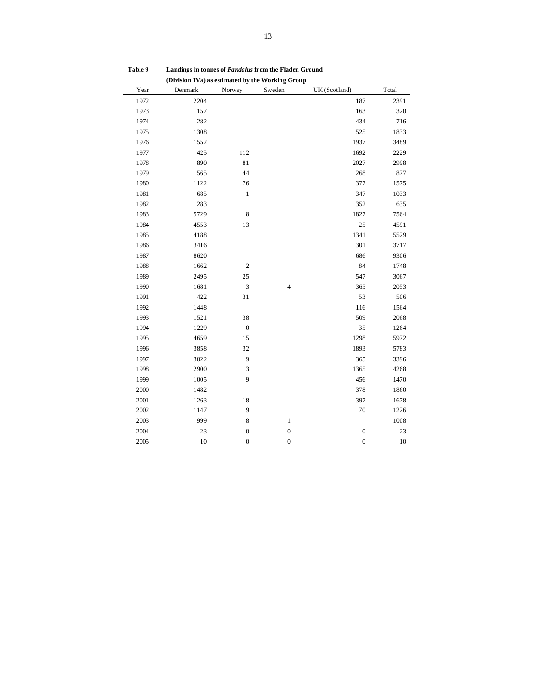| (Division IVa) as estimated by the Working Group |         |                             |                  |                  |       |  |  |  |  |  |  |
|--------------------------------------------------|---------|-----------------------------|------------------|------------------|-------|--|--|--|--|--|--|
| Year                                             | Denmark | Norway                      | Sweden           | UK (Scotland)    | Total |  |  |  |  |  |  |
| 1972                                             | 2204    |                             |                  | 187              | 2391  |  |  |  |  |  |  |
| 1973                                             | 157     |                             |                  | 163              | 320   |  |  |  |  |  |  |
| 1974                                             | 282     |                             |                  | 434              | 716   |  |  |  |  |  |  |
| 1975                                             | 1308    |                             |                  | 525              | 1833  |  |  |  |  |  |  |
| 1976                                             | 1552    |                             |                  | 1937             | 3489  |  |  |  |  |  |  |
| 1977                                             | 425     | 112                         |                  | 1692             | 2229  |  |  |  |  |  |  |
| 1978                                             | 890     | 81                          |                  | 2027             | 2998  |  |  |  |  |  |  |
| 1979                                             | 565     | 44                          |                  | 268              | 877   |  |  |  |  |  |  |
| 1980                                             | 1122    | 76                          |                  | 377              | 1575  |  |  |  |  |  |  |
| 1981                                             | 685     | $\,1\,$                     |                  | 347              | 1033  |  |  |  |  |  |  |
| 1982                                             | 283     |                             |                  | 352              | 635   |  |  |  |  |  |  |
| 1983                                             | 5729    | $\,$ 8 $\,$                 |                  | 1827             | 7564  |  |  |  |  |  |  |
| 1984                                             | 4553    | 13                          |                  | 25               | 4591  |  |  |  |  |  |  |
| 1985                                             | 4188    |                             |                  | 1341             | 5529  |  |  |  |  |  |  |
| 1986                                             | 3416    |                             |                  | 301              | 3717  |  |  |  |  |  |  |
| 1987                                             | 8620    |                             |                  | 686              | 9306  |  |  |  |  |  |  |
| 1988                                             | 1662    | $\mathbf{2}$                |                  | 84               | 1748  |  |  |  |  |  |  |
| 1989                                             | 2495    | 25                          |                  | 547              | 3067  |  |  |  |  |  |  |
| 1990                                             | 1681    | $\mathfrak{Z}$              | $\overline{4}$   | 365              | 2053  |  |  |  |  |  |  |
| 1991                                             | 422     | $3\sqrt{1}$                 |                  | 53               | 506   |  |  |  |  |  |  |
| 1992                                             | 1448    |                             |                  | 116              | 1564  |  |  |  |  |  |  |
| 1993                                             | 1521    | 38                          |                  | 509              | 2068  |  |  |  |  |  |  |
| 1994                                             | 1229    | $\boldsymbol{0}$            |                  | 35               | 1264  |  |  |  |  |  |  |
| 1995                                             | 4659    | 15                          |                  | 1298             | 5972  |  |  |  |  |  |  |
| 1996                                             | 3858    | 32                          |                  | 1893             | 5783  |  |  |  |  |  |  |
| 1997                                             | 3022    | $\overline{9}$              |                  | 365              | 3396  |  |  |  |  |  |  |
| 1998                                             | 2900    | $\ensuremath{\mathfrak{Z}}$ |                  | 1365             | 4268  |  |  |  |  |  |  |
| 1999                                             | 1005    | 9                           |                  | 456              | 1470  |  |  |  |  |  |  |
| 2000                                             | 1482    |                             |                  | 378              | 1860  |  |  |  |  |  |  |
| 2001                                             | 1263    | 18                          |                  | 397              | 1678  |  |  |  |  |  |  |
| 2002                                             | 1147    | $\overline{9}$              |                  | 70               | 1226  |  |  |  |  |  |  |
| 2003                                             | 999     | $\,8\,$                     | $\,1$            |                  | 1008  |  |  |  |  |  |  |
| 2004                                             | 23      | $\boldsymbol{0}$            | $\boldsymbol{0}$ | $\boldsymbol{0}$ | 23    |  |  |  |  |  |  |
| $2005\,$                                         | 10      | $\boldsymbol{0}$            | $\boldsymbol{0}$ | $\boldsymbol{0}$ | 10    |  |  |  |  |  |  |

**Table 9 Landings in tonnes of** *Pandalus* **from the Fladen Ground** (Division IVa) as estimated by the Working Crown in **Calculation**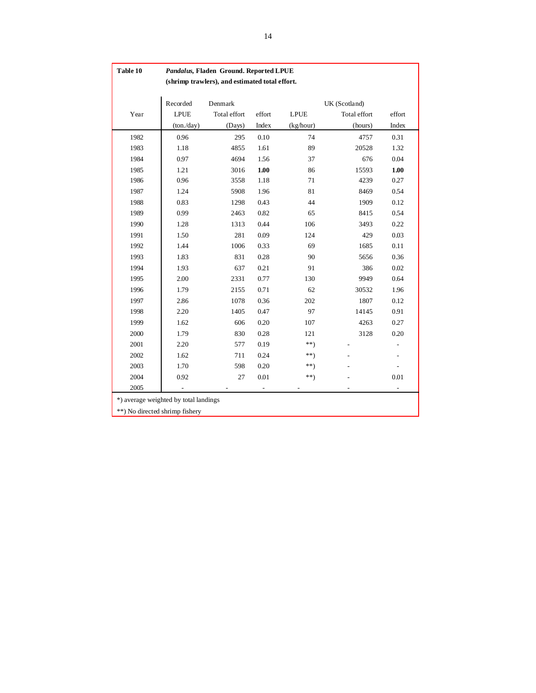| Table 10                              | Pandalus, Fladen Ground. Reported LPUE |                                                |        |             |               |                |  |  |  |  |  |
|---------------------------------------|----------------------------------------|------------------------------------------------|--------|-------------|---------------|----------------|--|--|--|--|--|
|                                       |                                        | (shrimp trawlers), and estimated total effort. |        |             |               |                |  |  |  |  |  |
|                                       |                                        |                                                |        |             |               |                |  |  |  |  |  |
|                                       | Recorded                               | Denmark                                        |        |             | UK (Scotland) |                |  |  |  |  |  |
| Year                                  | <b>LPUE</b>                            | Total effort                                   | effort | <b>LPUE</b> | Total effort  | effort         |  |  |  |  |  |
|                                       | (ton./day)                             | (Days)                                         | Index  | (kg/hour)   | (hours)       | Index          |  |  |  |  |  |
| 1982                                  | 0.96                                   | 295                                            | 0.10   | 74          | 4757          | 0.31           |  |  |  |  |  |
| 1983                                  | 1.18                                   | 4855                                           | 1.61   | 89          | 20528         | 1.32           |  |  |  |  |  |
| 1984                                  | 0.97                                   | 4694                                           | 1.56   | 37          | 676           | 0.04           |  |  |  |  |  |
| 1985                                  | 1.21                                   | 3016                                           | 1.00   | 86          | 15593         | 1.00           |  |  |  |  |  |
| 1986                                  | 0.96                                   | 3558                                           | 1.18   | 71          | 4239          | 0.27           |  |  |  |  |  |
| 1987                                  | 1.24                                   | 5908                                           | 1.96   | 81          | 8469          | 0.54           |  |  |  |  |  |
| 1988                                  | 0.83                                   | 1298                                           | 0.43   | 44          | 1909          | 0.12           |  |  |  |  |  |
| 1989                                  | 0.99                                   | 2463                                           | 0.82   | 65          | 8415          | 0.54           |  |  |  |  |  |
| 1990                                  | 1.28                                   | 1313                                           | 0.44   | 106         | 3493          | 0.22           |  |  |  |  |  |
| 1991                                  | 1.50                                   | 281                                            | 0.09   | 124         | 429           | 0.03           |  |  |  |  |  |
| 1992                                  | 1.44                                   | 1006                                           | 0.33   | 69          | 1685          | 0.11           |  |  |  |  |  |
| 1993                                  | 1.83                                   | 831                                            | 0.28   | 90          | 5656          | 0.36           |  |  |  |  |  |
| 1994                                  | 1.93                                   | 637                                            | 0.21   | 91          | 386           | 0.02           |  |  |  |  |  |
| 1995                                  | 2.00                                   | 2331                                           | 0.77   | 130         | 9949          | 0.64           |  |  |  |  |  |
| 1996                                  | 1.79                                   | 2155                                           | 0.71   | 62          | 30532         | 1.96           |  |  |  |  |  |
| 1997                                  | 2.86                                   | 1078                                           | 0.36   | 202         | 1807          | 0.12           |  |  |  |  |  |
| 1998                                  | 2.20                                   | 1405                                           | 0.47   | 97          | 14145         | 0.91           |  |  |  |  |  |
| 1999                                  | 1.62                                   | 606                                            | 0.20   | 107         | 4263          | 0.27           |  |  |  |  |  |
| 2000                                  | 1.79                                   | 830                                            | 0.28   | 121         | 3128          | 0.20           |  |  |  |  |  |
| 2001                                  | 2.20                                   | 577                                            | 0.19   | $**$        |               |                |  |  |  |  |  |
| 2002                                  | 1.62                                   | 711                                            | 0.24   | **)         |               |                |  |  |  |  |  |
| 2003                                  | 1.70                                   | 598                                            | 0.20   | **)         |               | $\overline{a}$ |  |  |  |  |  |
| 2004                                  | 0.92                                   | 27                                             | 0.01   | $^{**}$     |               | 0.01           |  |  |  |  |  |
| 2005                                  |                                        |                                                |        |             |               |                |  |  |  |  |  |
| *) average weighted by total landings |                                        |                                                |        |             |               |                |  |  |  |  |  |
| **) No directed shrimp fishery        |                                        |                                                |        |             |               |                |  |  |  |  |  |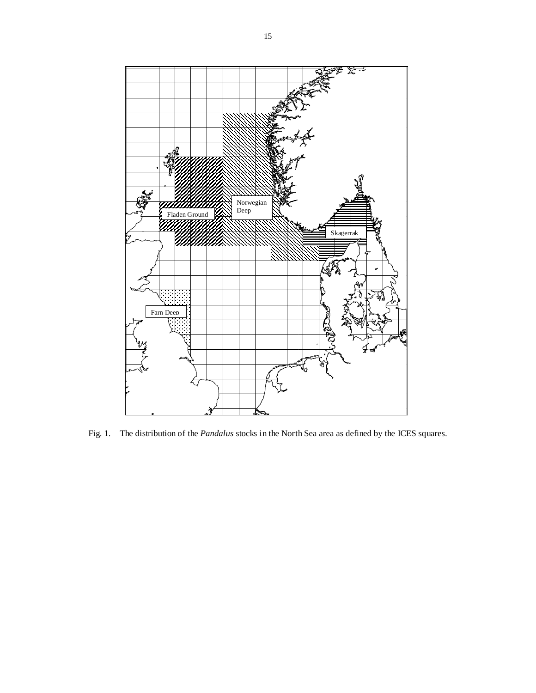

Fig. 1. The distribution of the *Pandalus* stocks in the North Sea area as defined by the ICES squares.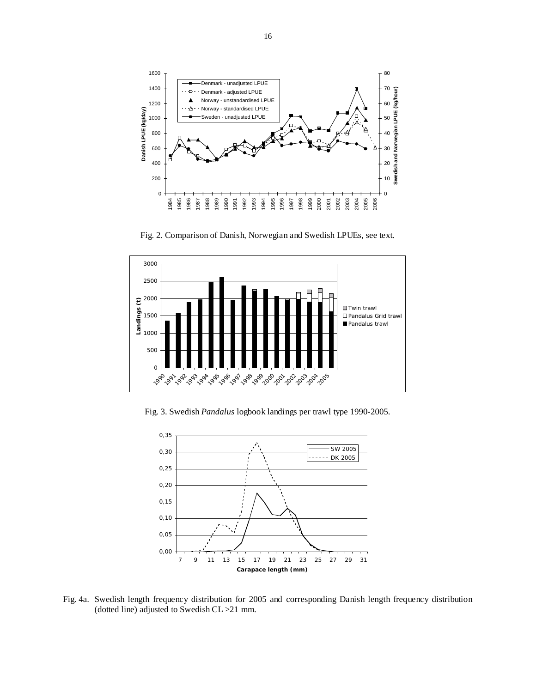

Fig. 2. Comparison of Danish, Norwegian and Swedish LPUEs, see text.



Fig. 3. Swedish *Pandalus* logbook landings per trawl type 1990-2005.



Fig. 4a. Swedish length frequency distribution for 2005 and corresponding Danish length frequency distribution (dotted line) adjusted to Swedish CL >21 mm.